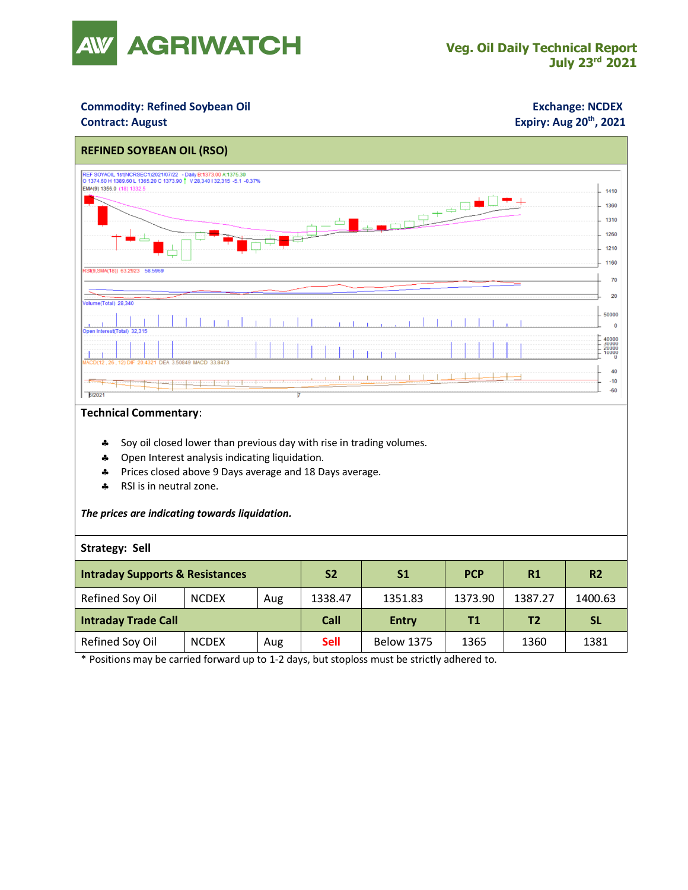

## **Commodity: Refined Soybean Oil <b>Exchange: NCDEX**

### **Contract: August**

# **Expiry: Aug 20<sup>th</sup>, 2021**



#### **Technical Commentary**:

- \* Soy oil closed lower than previous day with rise in trading volumes.
- Open Interest analysis indicating liquidation.
- Prices closed above 9 Days average and 18 Days average.
- \* RSI is in neutral zone.

#### *The prices are indicating towards liquidation.*

#### **Strategy: Sell**

| <b>Intraday Supports &amp; Resistances</b> |              |     | S <sub>2</sub> | S1                | <b>PCP</b> | R1      | R <sub>2</sub> |
|--------------------------------------------|--------------|-----|----------------|-------------------|------------|---------|----------------|
| Refined Soy Oil                            | <b>NCDEX</b> | Aug | 1338.47        | 1351.83           | 1373.90    | 1387.27 | 1400.63        |
| <b>Intraday Trade Call</b>                 |              |     | Call           | <b>Entry</b>      | Τ1         | Τ2      | <b>SL</b>      |
| Refined Soy Oil                            | <b>NCDEX</b> | Aug | <b>Sell</b>    | <b>Below 1375</b> | 1365       | 1360    | 1381           |

\* Positions may be carried forward up to 1-2 days, but stoploss must be strictly adhered to.